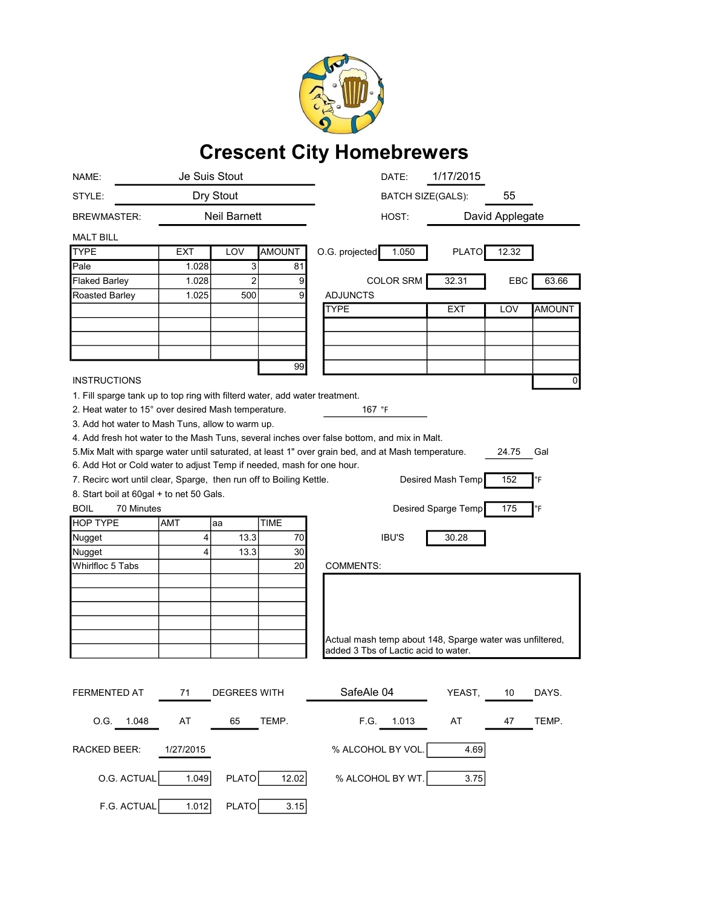

## Crescent City Homebrewers

| NAME:                                                                       | Je Suis Stout       |                     |               | DATE:                                                                                               | 1/17/2015           |       |               |
|-----------------------------------------------------------------------------|---------------------|---------------------|---------------|-----------------------------------------------------------------------------------------------------|---------------------|-------|---------------|
| STYLE:                                                                      | Dry Stout           |                     |               | <b>BATCH SIZE(GALS):</b>                                                                            |                     | 55    |               |
| <b>BREWMASTER:</b>                                                          | <b>Neil Barnett</b> |                     | HOST:         |                                                                                                     | David Applegate     |       |               |
| <b>MALT BILL</b>                                                            |                     |                     |               |                                                                                                     |                     |       |               |
| <b>TYPE</b>                                                                 | <b>EXT</b>          | LOV                 | <b>AMOUNT</b> | O.G. projected<br>1.050                                                                             | <b>PLATO</b>        | 12.32 |               |
| Pale                                                                        | 1.028               | 3                   | 81            |                                                                                                     |                     |       |               |
| <b>Flaked Barley</b>                                                        | 1.028               | $\overline{2}$      | 9             | <b>COLOR SRM</b>                                                                                    | 32.31               | EBC   | 63.66         |
| Roasted Barley                                                              | 1.025               | 500                 | 9             | <b>ADJUNCTS</b>                                                                                     |                     |       |               |
|                                                                             |                     |                     |               | <b>TYPE</b>                                                                                         | <b>EXT</b>          | LOV   | <b>AMOUNT</b> |
|                                                                             |                     |                     |               |                                                                                                     |                     |       |               |
|                                                                             |                     |                     |               |                                                                                                     |                     |       |               |
|                                                                             |                     |                     |               |                                                                                                     |                     |       |               |
|                                                                             |                     |                     | 99            |                                                                                                     |                     |       |               |
| <b>INSTRUCTIONS</b>                                                         |                     |                     |               |                                                                                                     |                     |       | 0             |
| 1. Fill sparge tank up to top ring with filterd water, add water treatment. |                     |                     |               |                                                                                                     |                     |       |               |
| 2. Heat water to 15° over desired Mash temperature.                         |                     |                     |               | 167 °F                                                                                              |                     |       |               |
| 3. Add hot water to Mash Tuns, allow to warm up.                            |                     |                     |               |                                                                                                     |                     |       |               |
|                                                                             |                     |                     |               | 4. Add fresh hot water to the Mash Tuns, several inches over false bottom, and mix in Malt.         |                     |       |               |
|                                                                             |                     |                     |               | 5. Mix Malt with sparge water until saturated, at least 1" over grain bed, and at Mash temperature. |                     | 24.75 | Gal           |
| 6. Add Hot or Cold water to adjust Temp if needed, mash for one hour.       |                     |                     |               |                                                                                                     |                     |       |               |
| 7. Recirc wort until clear, Sparge, then run off to Boiling Kettle.         |                     |                     |               |                                                                                                     | Desired Mash Temp   | 152   | °F            |
| 8. Start boil at 60gal + to net 50 Gals.                                    |                     |                     |               |                                                                                                     |                     |       |               |
| <b>BOIL</b><br>70 Minutes                                                   |                     |                     |               |                                                                                                     | Desired Sparge Temp | 175   | °F            |
| <b>HOP TYPE</b>                                                             | AMT                 | aa                  | <b>TIME</b>   |                                                                                                     |                     |       |               |
| Nugget                                                                      | 4                   | 13.3                | 70            | <b>IBU'S</b>                                                                                        | 30.28               |       |               |
| Nugget                                                                      | 4                   | 13.3                | 30            |                                                                                                     |                     |       |               |
| Whirlfloc 5 Tabs                                                            |                     |                     | 20            | <b>COMMENTS:</b>                                                                                    |                     |       |               |
|                                                                             |                     |                     |               |                                                                                                     |                     |       |               |
|                                                                             |                     |                     |               |                                                                                                     |                     |       |               |
|                                                                             |                     |                     |               |                                                                                                     |                     |       |               |
|                                                                             |                     |                     |               |                                                                                                     |                     |       |               |
|                                                                             |                     |                     |               | Actual mash temp about 148, Sparge water was unfiltered,                                            |                     |       |               |
|                                                                             |                     |                     |               | added 3 Tbs of Lactic acid to water.                                                                |                     |       |               |
|                                                                             |                     |                     |               |                                                                                                     |                     |       |               |
|                                                                             |                     |                     |               |                                                                                                     |                     |       |               |
| <b>FERMENTED AT</b>                                                         | 71                  | <b>DEGREES WITH</b> |               | SafeAle 04                                                                                          | YEAST,              | 10    | DAYS.         |
|                                                                             |                     |                     |               |                                                                                                     |                     |       |               |
| O.G. 1.048                                                                  | AT                  | 65                  | TEMP.         | F.G.<br>1.013                                                                                       | AT                  | 47    | TEMP.         |
| RACKED BEER:<br>1/27/2015                                                   |                     |                     |               | % ALCOHOL BY VOL.<br>4.69                                                                           |                     |       |               |
| O.G. ACTUAL                                                                 | 1.049               | PLATO               | 12.02         | % ALCOHOL BY WT.                                                                                    | 3.75                |       |               |
| F.G. ACTUAL                                                                 | 1.012               | PLATO               | 3.15          |                                                                                                     |                     |       |               |